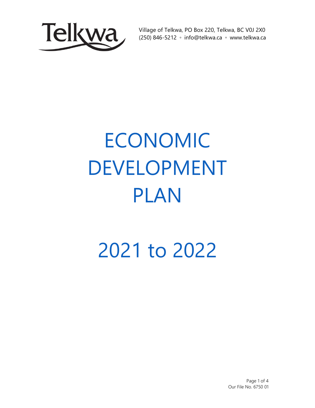

Village of Telkwa, PO Box 220, Telkwa, BC V0J 2X0 (250) 846-5212 ◦ info@telkwa.ca ◦ www.telkwa.ca

## ECONOMIC DEVELOPMENT PLAN

## 2021 to 2022

Page 1 of 4 Our File No. 6750 01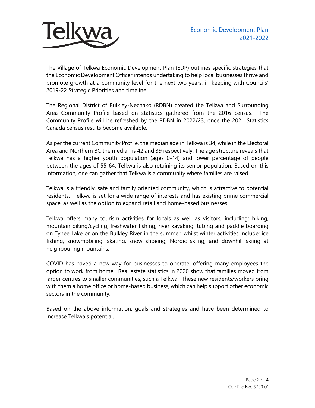

The Village of Telkwa Economic Development Plan (EDP) outlines specific strategies that the Economic Development Officer intends undertaking to help local businesses thrive and promote growth at a community level for the next two years, in keeping with Councils' 2019-22 Strategic Priorities and timeline.

The Regional District of Bulkley-Nechako (RDBN) created the Telkwa and Surrounding Area Community Profile based on statistics gathered from the 2016 census. The Community Profile will be refreshed by the RDBN in 2022/23, once the 2021 Statistics Canada census results become available.

As per the current Community Profile, the median age in Telkwa is 34, while in the Electoral Area and Northern BC the median is 42 and 39 respectively. The age structure reveals that Telkwa has a higher youth population (ages 0-14) and lower percentage of people between the ages of 55-64. Telkwa is also retaining its senior population. Based on this information, one can gather that Telkwa is a community where families are raised.

Telkwa is a friendly, safe and family oriented community, which is attractive to potential residents. Telkwa is set for a wide range of interests and has existing prime commercial space, as well as the option to expand retail and home-based businesses.

Telkwa offers many tourism activities for locals as well as visitors, including: hiking, mountain biking/cycling, freshwater fishing, river kayaking, tubing and paddle boarding on Tyhee Lake or on the Bulkley River in the summer; whilst winter activities include: ice fishing, snowmobiling, skating, snow shoeing, Nordic skiing, and downhill skiing at neighbouring mountains.

COVID has paved a new way for businesses to operate, offering many employees the option to work from home. Real estate statistics in 2020 show that families moved from larger centres to smaller communities, such a Telkwa. These new residents/workers bring with them a home office or home-based business, which can help support other economic sectors in the community.

Based on the above information, goals and strategies and have been determined to increase Telkwa's potential.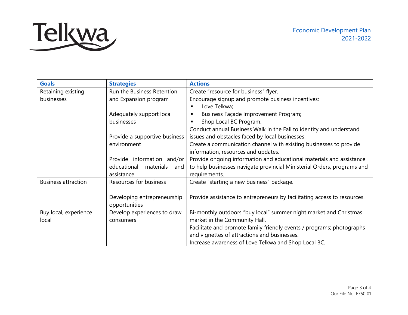

| <b>Goals</b>               | <b>Strategies</b>               | <b>Actions</b>                                                           |
|----------------------------|---------------------------------|--------------------------------------------------------------------------|
| Retaining existing         | Run the Business Retention      | Create "resource for business" flyer.                                    |
| businesses                 | and Expansion program           | Encourage signup and promote business incentives:                        |
|                            |                                 | Love Telkwa;<br>$\blacksquare$                                           |
|                            | Adequately support local        | Business Façade Improvement Program;<br>٠                                |
|                            | businesses                      | Shop Local BC Program.<br>٠                                              |
|                            |                                 | Conduct annual Business Walk in the Fall to identify and understand      |
|                            | Provide a supportive business   | issues and obstacles faced by local businesses.                          |
|                            | environment                     | Create a communication channel with existing businesses to provide       |
|                            |                                 | information, resources and updates.                                      |
|                            | Provide information and/or      | Provide ongoing information and educational materials and assistance     |
|                            | educational<br>materials<br>and | to help businesses navigate provincial Ministerial Orders, programs and  |
|                            | assistance                      | requirements.                                                            |
| <b>Business attraction</b> | Resources for business          | Create "starting a new business" package.                                |
|                            |                                 |                                                                          |
|                            | Developing entrepreneurship     | Provide assistance to entrepreneurs by facilitating access to resources. |
|                            | opportunities                   |                                                                          |
| Buy local, experience      | Develop experiences to draw     | Bi-monthly outdoors "buy local" summer night market and Christmas        |
| local                      | consumers                       | market in the Community Hall.                                            |
|                            |                                 | Facilitate and promote family friendly events / programs; photographs    |
|                            |                                 | and vignettes of attractions and businesses.                             |
|                            |                                 | Increase awareness of Love Telkwa and Shop Local BC.                     |